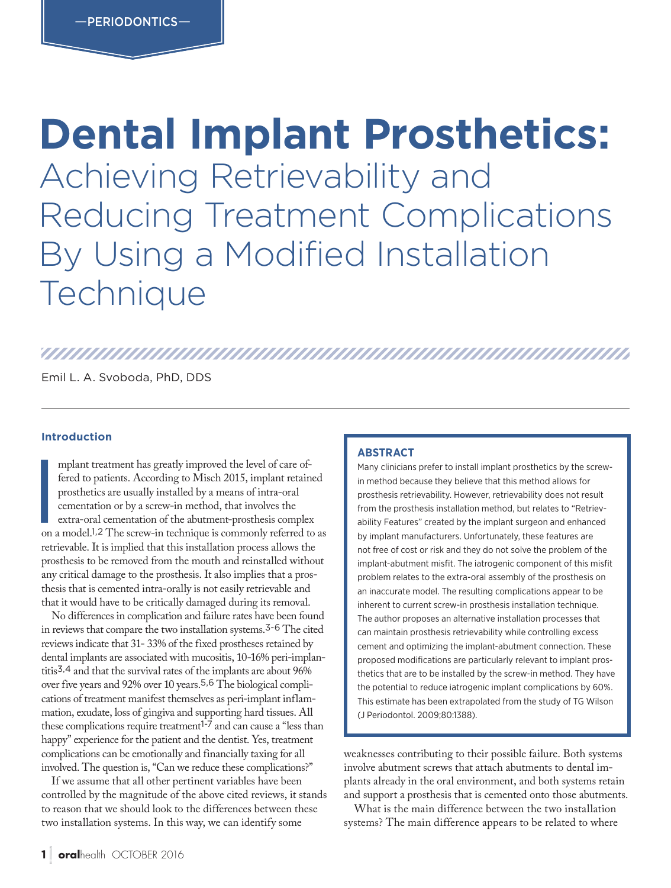## **Dental Implant Prosthetics:**  Achieving Retrievability and Reducing Treatment Complications By Using a Modified Installation **Technique**

### 

Emil L. A. Svoboda, PhD, DDS

#### **Introduction**

mplant treatment has greatly improved the level of care of-<br>fered to patients. According to Misch 2015, implant retained<br>prosthetics are usually installed by a means of intra-oral<br>cementation or by a screw-in method, that mplant treatment has greatly improved the level of care offered to patients. According to Misch 2015, implant retained prosthetics are usually installed by a means of intra-oral cementation or by a screw-in method, that involves the extra-oral cementation of the abutment-prosthesis complex retrievable. It is implied that this installation process allows the prosthesis to be removed from the mouth and reinstalled without any critical damage to the prosthesis. It also implies that a prosthesis that is cemented intra-orally is not easily retrievable and that it would have to be critically damaged during its removal.

No differences in complication and failure rates have been found in reviews that compare the two installation systems.3-6 The cited reviews indicate that 31- 33% of the fixed prostheses retained by dental implants are associated with mucositis, 10-16% peri-implantitis3,4 and that the survival rates of the implants are about 96% over five years and 92% over 10 years.5,6 The biological complications of treatment manifest themselves as peri-implant inflammation, exudate, loss of gingiva and supporting hard tissues. All these complications require treatment<sup>1-7</sup> and can cause a "less than happy" experience for the patient and the dentist. Yes, treatment complications can be emotionally and financially taxing for all involved. The question is, "Can we reduce these complications?"

If we assume that all other pertinent variables have been controlled by the magnitude of the above cited reviews, it stands to reason that we should look to the differences between these two installation systems. In this way, we can identify some

#### **ABSTRACT**

Many clinicians prefer to install implant prosthetics by the screwin method because they believe that this method allows for prosthesis retrievability. However, retrievability does not result from the prosthesis installation method, but relates to "Retrievability Features" created by the implant surgeon and enhanced by implant manufacturers. Unfortunately, these features are not free of cost or risk and they do not solve the problem of the implant-abutment misfit. The iatrogenic component of this misfit problem relates to the extra-oral assembly of the prosthesis on an inaccurate model. The resulting complications appear to be inherent to current screw-in prosthesis installation technique. The author proposes an alternative installation processes that can maintain prosthesis retrievability while controlling excess cement and optimizing the implant-abutment connection. These proposed modifications are particularly relevant to implant prosthetics that are to be installed by the screw-in method. They have the potential to reduce iatrogenic implant complications by 60%. This estimate has been extrapolated from the study of TG Wilson (J Periodontol. 2009;80:1388).

weaknesses contributing to their possible failure. Both systems involve abutment screws that attach abutments to dental implants already in the oral environment, and both systems retain and support a prosthesis that is cemented onto those abutments.

What is the main difference between the two installation systems? The main difference appears to be related to where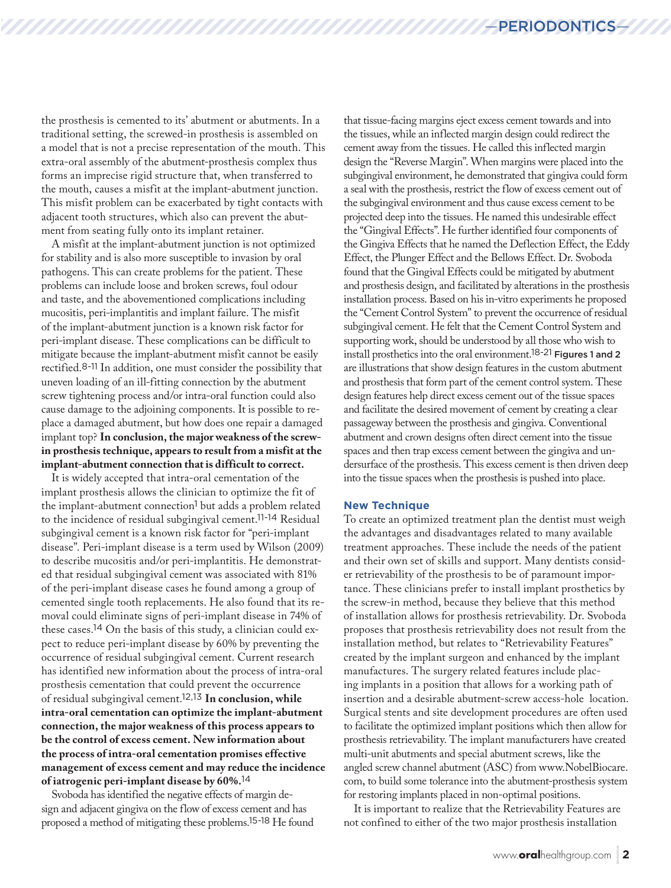the prosthesis is cemented to its' abutment or abutments. In a traditional setting, the screwed-in prosthesis is assembled on a model that is not a precise representation of the mouth. This extra-oral assembly of the abutment-prosthesis complex thus forms an imprecise rigid structure that, when transferred to the mouth, causes a misfit at the implant-abutment junction. This misfit problem can be exacerbated by tight contacts with adjacent tooth structures, which also can prevent the abutment from seating fully onto its implant retainer.

A misfit at the implant-abutment junction is not optimized for stability and is also more susceptible to invasion by oral pathogens. This can create problems for the patient. These problems can include loose and broken screws, foul odour and taste, and the abovementioned complications including mucositis, peri-implantitis and implant failure. The misfit of the implant-abutment junction is a known risk factor for peri-implant disease. These complications can be difficult to mitigate because the implant-abutment misfit cannot be easily rectified.8-11 In addition, one must consider the possibility that uneven loading of an ill-fitting connection by the abutment screw tightening process and/or intra-oral function could also cause damage to the adjoining components. It is possible to replace a damaged abutment, but how does one repair a damaged implant top? **In conclusion, the major weakness of the screwin prosthesis technique, appears to result from a misfit at the implant-abutment connection that is difficult to correct.**

It is widely accepted that intra-oral cementation of the implant prosthesis allows the clinician to optimize the fit of the implant-abutment connection1 but adds a problem related to the incidence of residual subgingival cement.11-14 Residual subgingival cement is a known risk factor for "peri-implant disease". Peri-implant disease is a term used by Wilson (2009) to describe mucositis and/or peri-implantitis. He demonstrated that residual subgingival cement was associated with 81% of the peri-implant disease cases he found among a group of cemented single tooth replacements. He also found that its removal could eliminate signs of peri-implant disease in 74% of these cases.14 On the basis of this study, a clinician could expect to reduce peri-implant disease by 60% by preventing the occurrence of residual subgingival cement. Current research has identified new information about the process of intra-oral prosthesis cementation that could prevent the occurrence of residual subgingival cement.12,13 **In conclusion, while intra-oral cementation can optimize the implant-abutment connection, the major weakness of this process appears to be the control of excess cement. New information about the process of intra-oral cementation promises effective management of excess cement and may reduce the incidence of iatrogenic peri-implant disease by 60%.**<sup>14</sup>

Svoboda has identified the negative effects of margin design and adjacent gingiva on the flow of excess cement and has proposed a method of mitigating these problems.15-18 He found

that tissue-facing margins eject excess cement towards and into the tissues, while an inflected margin design could redirect the cement away from the tissues. He called this inflected margin design the "Reverse Margin". When margins were placed into the subgingival environment, he demonstrated that gingiva could form a seal with the prosthesis, restrict the flow of excess cement out of the subgingival environment and thus cause excess cement to be projected deep into the tissues. He named this undesirable effect the "Gingival Effects". He further identified four components of the Gingiva Effects that he named the Deflection Effect, the Eddy Effect, the Plunger Effect and the Bellows Effect. Dr. Svoboda found that the Gingival Effects could be mitigated by abutment and prosthesis design, and facilitated by alterations in the prosthesis installation process. Based on his in-vitro experiments he proposed the "Cement Control System" to prevent the occurrence of residual subgingival cement. He felt that the Cement Control System and supporting work, should be understood by all those who wish to install prosthetics into the oral environment.18-21 Figures 1 and 2 are illustrations that show design features in the custom abutment and prosthesis that form part of the cement control system. These design features help direct excess cement out of the tissue spaces and facilitate the desired movement of cement by creating a clear passageway between the prosthesis and gingiva. Conventional abutment and crown designs often direct cement into the tissue spaces and then trap excess cement between the gingiva and undersurface of the prosthesis. This excess cement is then driven deep into the tissue spaces when the prosthesis is pushed into place.

#### **New Technique**

To create an optimized treatment plan the dentist must weigh the advantages and disadvantages related to many available treatment approaches. These include the needs of the patient and their own set of skills and support. Many dentists consider retrievability of the prosthesis to be of paramount importance. These clinicians prefer to install implant prosthetics by the screw-in method, because they believe that this method of installation allows for prosthesis retrievability. Dr. Svoboda proposes that prosthesis retrievability does not result from the installation method, but relates to "Retrievability Features" created by the implant surgeon and enhanced by the implant manufactures. The surgery related features include placing implants in a position that allows for a working path of insertion and a desirable abutment-screw access-hole location. Surgical stents and site development procedures are often used to facilitate the optimized implant positions which then allow for prosthesis retrievability. The implant manufacturers have created multi-unit abutments and special abutment screws, like the angled screw channel abutment (ASC) from www.NobelBiocare. com, to build some tolerance into the abutment-prosthesis system for restoring implants placed in non-optimal positions.

It is important to realize that the Retrievability Features are not confined to either of the two major prosthesis installation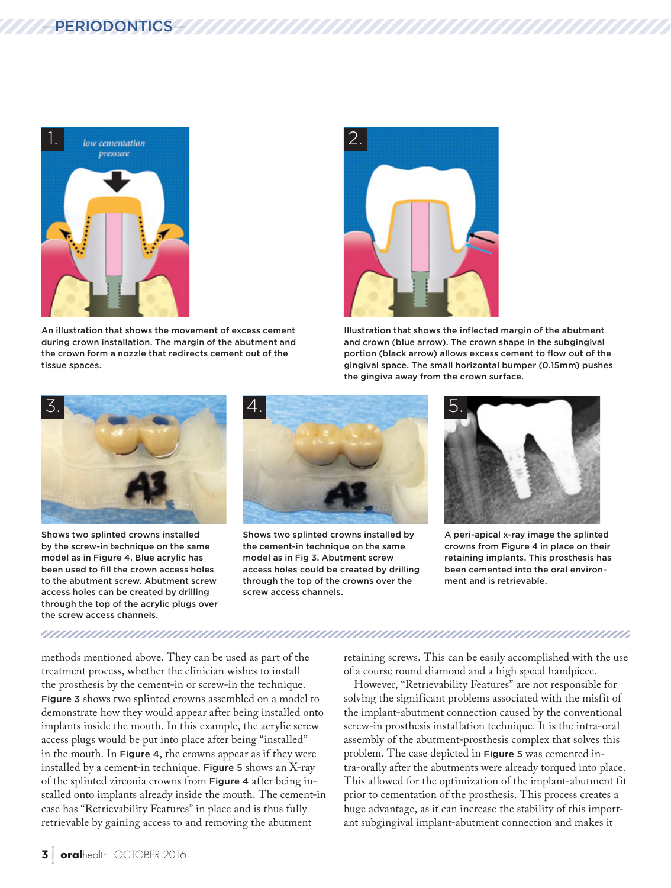

An illustration that shows the movement of excess cement during crown installation. The margin of the abutment and the crown form a nozzle that redirects cement out of the tissue spaces.



Illustration that shows the inflected margin of the abutment and crown (blue arrow). The crown shape in the subgingival portion (black arrow) allows excess cement to flow out of the gingival space. The small horizontal bumper (0.15mm) pushes the gingiva away from the crown surface.



Shows two splinted crowns installed by the screw-in technique on the same model as in Figure 4. Blue acrylic has been used to fill the crown access holes to the abutment screw. Abutment screw access holes can be created by drilling through the top of the acrylic plugs over the screw access channels.



Shows two splinted crowns installed by the cement-in technique on the same model as in Fig 3. Abutment screw access holes could be created by drilling through the top of the crowns over the screw access channels.



A peri-apical x-ray image the splinted crowns from Figure 4 in place on their retaining implants. This prosthesis has been cemented into the oral environment and is retrievable.

methods mentioned above. They can be used as part of the treatment process, whether the clinician wishes to install the prosthesis by the cement-in or screw-in the technique. Figure 3 shows two splinted crowns assembled on a model to demonstrate how they would appear after being installed onto implants inside the mouth. In this example, the acrylic screw access plugs would be put into place after being "installed" in the mouth. In Figure 4, the crowns appear as if they were installed by a cement-in technique. Figure 5 shows an X-ray of the splinted zirconia crowns from Figure 4 after being installed onto implants already inside the mouth. The cement-in case has "Retrievability Features" in place and is thus fully retrievable by gaining access to and removing the abutment

retaining screws. This can be easily accomplished with the use of a course round diamond and a high speed handpiece.

However, "Retrievability Features" are not responsible for solving the significant problems associated with the misfit of the implant-abutment connection caused by the conventional screw-in prosthesis installation technique. It is the intra-oral assembly of the abutment-prosthesis complex that solves this problem. The case depicted in Figure 5 was cemented intra-orally after the abutments were already torqued into place. This allowed for the optimization of the implant-abutment fit prior to cementation of the prosthesis. This process creates a huge advantage, as it can increase the stability of this important subgingival implant-abutment connection and makes it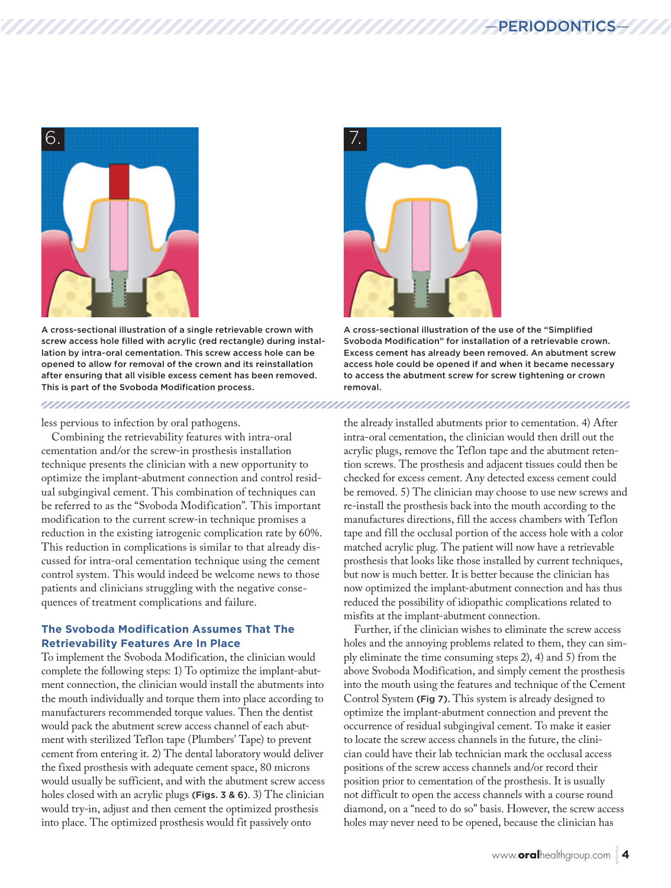

A cross-sectional illustration of a single retrievable crown with screw access hole filled with acrylic (red rectangle) during installation by intra-oral cementation. This screw access hole can be opened to allow for removal of the crown and its reinstallation after ensuring that all visible excess cement has been removed. This is part of the Svoboda Modification process.

#### less pervious to infection by oral pathogens.

Combining the retrievability features with intra-oral cementation and/or the screw-in prosthesis installation technique presents the clinician with a new opportunity to optimize the implant-abutment connection and control residual subgingival cement. This combination of techniques can be referred to as the "Svoboda Modification". This important modification to the current screw-in technique promises a reduction in the existing iatrogenic complication rate by 60%. This reduction in complications is similar to that already discussed for intra-oral cementation technique using the cement control system. This would indeed be welcome news to those patients and clinicians struggling with the negative consequences of treatment complications and failure.

#### **The Svoboda Modification Assumes That The Retrievability Features Are In Place**

To implement the Svoboda Modification, the clinician would complete the following steps: 1) To optimize the implant-abutment connection, the clinician would install the abutments into the mouth individually and torque them into place according to manufacturers recommended torque values. Then the dentist would pack the abutment screw access channel of each abutment with sterilized Teflon tape (Plumbers' Tape) to prevent cement from entering it. 2) The dental laboratory would deliver the fixed prosthesis with adequate cement space, 80 microns would usually be sufficient, and with the abutment screw access holes closed with an acrylic plugs (Figs. 3 & 6). 3) The clinician would try-in, adjust and then cement the optimized prosthesis into place. The optimized prosthesis would fit passively onto



A cross-sectional illustration of the use of the "Simplified Svoboda Modification" for installation of a retrievable crown. Excess cement has already been removed. An abutment screw access hole could be opened if and when it became necessary to access the abutment screw for screw tightening or crown removal.

the already installed abutments prior to cementation. 4) After intra-oral cementation, the clinician would then drill out the acrylic plugs, remove the Teflon tape and the abutment retention screws. The prosthesis and adjacent tissues could then be checked for excess cement. Any detected excess cement could be removed. 5) The clinician may choose to use new screws and re-install the prosthesis back into the mouth according to the manufactures directions, fill the access chambers with Teflon tape and fill the occlusal portion of the access hole with a color matched acrylic plug. The patient will now have a retrievable prosthesis that looks like those installed by current techniques, but now is much better. It is better because the clinician has now optimized the implant-abutment connection and has thus reduced the possibility of idiopathic complications related to misfits at the implant-abutment connection.

Further, if the clinician wishes to eliminate the screw access holes and the annoying problems related to them, they can simply eliminate the time consuming steps 2), 4) and 5) from the above Svoboda Modification, and simply cement the prosthesis into the mouth using the features and technique of the Cement Control System (Fig 7). This system is already designed to optimize the implant-abutment connection and prevent the occurrence of residual subgingival cement. To make it easier to locate the screw access channels in the future, the clinician could have their lab technician mark the occlusal access positions of the screw access channels and/or record their position prior to cementation of the prosthesis. It is usually not difficult to open the access channels with a course round diamond, on a "need to do so" basis. However, the screw access holes may never need to be opened, because the clinician has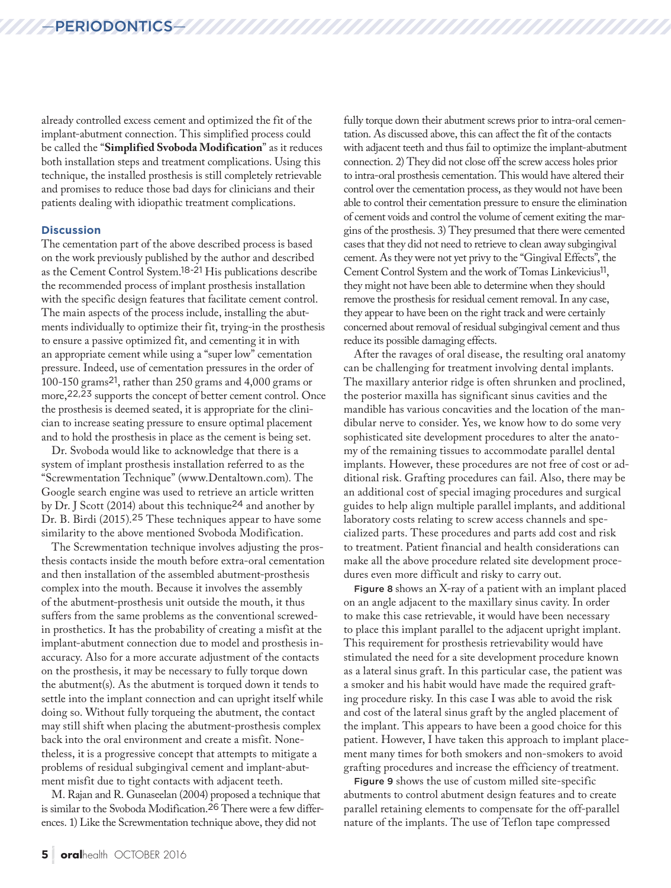### —PERIODONTICS—

already controlled excess cement and optimized the fit of the implant-abutment connection. This simplified process could be called the "**Simplified Svoboda Modification**" as it reduces both installation steps and treatment complications. Using this technique, the installed prosthesis is still completely retrievable and promises to reduce those bad days for clinicians and their patients dealing with idiopathic treatment complications.

#### **Discussion**

The cementation part of the above described process is based on the work previously published by the author and described as the Cement Control System.18-21 His publications describe the recommended process of implant prosthesis installation with the specific design features that facilitate cement control. The main aspects of the process include, installing the abutments individually to optimize their fit, trying-in the prosthesis to ensure a passive optimized fit, and cementing it in with an appropriate cement while using a "super low" cementation pressure. Indeed, use of cementation pressures in the order of 100-150 grams21, rather than 250 grams and 4,000 grams or more,22,23 supports the concept of better cement control. Once the prosthesis is deemed seated, it is appropriate for the clinician to increase seating pressure to ensure optimal placement and to hold the prosthesis in place as the cement is being set.

Dr. Svoboda would like to acknowledge that there is a system of implant prosthesis installation referred to as the "Screwmentation Technique" (www.Dentaltown.com). The Google search engine was used to retrieve an article written by Dr. J Scott (2014) about this technique24 and another by Dr. B. Birdi (2015).25 These techniques appear to have some similarity to the above mentioned Svoboda Modification.

The Screwmentation technique involves adjusting the prosthesis contacts inside the mouth before extra-oral cementation and then installation of the assembled abutment-prosthesis complex into the mouth. Because it involves the assembly of the abutment-prosthesis unit outside the mouth, it thus suffers from the same problems as the conventional screwedin prosthetics. It has the probability of creating a misfit at the implant-abutment connection due to model and prosthesis inaccuracy. Also for a more accurate adjustment of the contacts on the prosthesis, it may be necessary to fully torque down the abutment(s). As the abutment is torqued down it tends to settle into the implant connection and can upright itself while doing so. Without fully torqueing the abutment, the contact may still shift when placing the abutment-prosthesis complex back into the oral environment and create a misfit. Nonetheless, it is a progressive concept that attempts to mitigate a problems of residual subgingival cement and implant-abutment misfit due to tight contacts with adjacent teeth.

M. Rajan and R. Gunaseelan (2004) proposed a technique that is similar to the Svoboda Modification.26 There were a few differences. 1) Like the Screwmentation technique above, they did not

fully torque down their abutment screws prior to intra-oral cementation. As discussed above, this can affect the fit of the contacts with adjacent teeth and thus fail to optimize the implant-abutment connection. 2) They did not close off the screw access holes prior to intra-oral prosthesis cementation. This would have altered their control over the cementation process, as they would not have been able to control their cementation pressure to ensure the elimination of cement voids and control the volume of cement exiting the margins of the prosthesis. 3) They presumed that there were cemented cases that they did not need to retrieve to clean away subgingival cement. As they were not yet privy to the "Gingival Effects", the Cement Control System and the work of Tomas Linkevicius11, they might not have been able to determine when they should remove the prosthesis for residual cement removal. In any case, they appear to have been on the right track and were certainly concerned about removal of residual subgingival cement and thus reduce its possible damaging effects.

After the ravages of oral disease, the resulting oral anatomy can be challenging for treatment involving dental implants. The maxillary anterior ridge is often shrunken and proclined, the posterior maxilla has significant sinus cavities and the mandible has various concavities and the location of the mandibular nerve to consider. Yes, we know how to do some very sophisticated site development procedures to alter the anatomy of the remaining tissues to accommodate parallel dental implants. However, these procedures are not free of cost or additional risk. Grafting procedures can fail. Also, there may be an additional cost of special imaging procedures and surgical guides to help align multiple parallel implants, and additional laboratory costs relating to screw access channels and specialized parts. These procedures and parts add cost and risk to treatment. Patient financial and health considerations can make all the above procedure related site development procedures even more difficult and risky to carry out.

Figure 8 shows an X-ray of a patient with an implant placed on an angle adjacent to the maxillary sinus cavity. In order to make this case retrievable, it would have been necessary to place this implant parallel to the adjacent upright implant. This requirement for prosthesis retrievability would have stimulated the need for a site development procedure known as a lateral sinus graft. In this particular case, the patient was a smoker and his habit would have made the required grafting procedure risky. In this case I was able to avoid the risk and cost of the lateral sinus graft by the angled placement of the implant. This appears to have been a good choice for this patient. However, I have taken this approach to implant placement many times for both smokers and non-smokers to avoid grafting procedures and increase the efficiency of treatment.

Figure 9 shows the use of custom milled site-specific abutments to control abutment design features and to create parallel retaining elements to compensate for the off-parallel nature of the implants. The use of Teflon tape compressed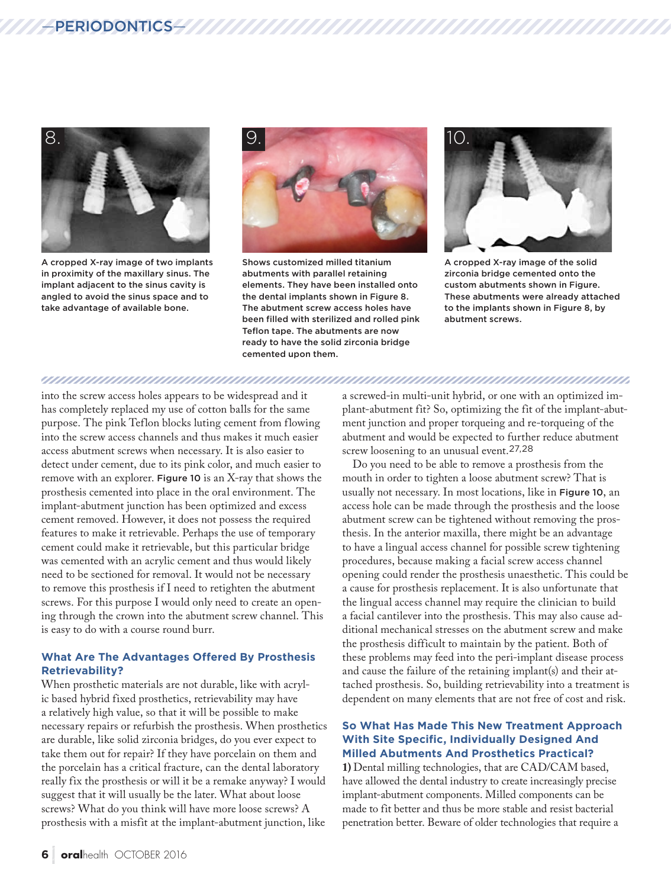

A cropped X-ray image of two implants in proximity of the maxillary sinus. The implant adjacent to the sinus cavity is angled to avoid the sinus space and to take advantage of available bone.



Shows customized milled titanium abutments with parallel retaining elements. They have been installed onto the dental implants shown in Figure 8. The abutment screw access holes have been filled with sterilized and rolled pink Teflon tape. The abutments are now ready to have the solid zirconia bridge cemented upon them.



A cropped X-ray image of the solid zirconia bridge cemented onto the custom abutments shown in Figure. These abutments were already attached to the implants shown in Figure 8, by abutment screws.

#### 

into the screw access holes appears to be widespread and it has completely replaced my use of cotton balls for the same purpose. The pink Teflon blocks luting cement from flowing into the screw access channels and thus makes it much easier access abutment screws when necessary. It is also easier to detect under cement, due to its pink color, and much easier to remove with an explorer. Figure 10 is an X-ray that shows the prosthesis cemented into place in the oral environment. The implant-abutment junction has been optimized and excess cement removed. However, it does not possess the required features to make it retrievable. Perhaps the use of temporary cement could make it retrievable, but this particular bridge was cemented with an acrylic cement and thus would likely need to be sectioned for removal. It would not be necessary to remove this prosthesis if I need to retighten the abutment screws. For this purpose I would only need to create an opening through the crown into the abutment screw channel. This is easy to do with a course round burr.

#### **What Are The Advantages Offered By Prosthesis Retrievability?**

When prosthetic materials are not durable, like with acrylic based hybrid fixed prosthetics, retrievability may have a relatively high value, so that it will be possible to make necessary repairs or refurbish the prosthesis. When prosthetics are durable, like solid zirconia bridges, do you ever expect to take them out for repair? If they have porcelain on them and the porcelain has a critical fracture, can the dental laboratory really fix the prosthesis or will it be a remake anyway? I would suggest that it will usually be the later. What about loose screws? What do you think will have more loose screws? A prosthesis with a misfit at the implant-abutment junction, like

a screwed-in multi-unit hybrid, or one with an optimized implant-abutment fit? So, optimizing the fit of the implant-abutment junction and proper torqueing and re-torqueing of the abutment and would be expected to further reduce abutment screw loosening to an unusual event.27,28

Do you need to be able to remove a prosthesis from the mouth in order to tighten a loose abutment screw? That is usually not necessary. In most locations, like in Figure 10, an access hole can be made through the prosthesis and the loose abutment screw can be tightened without removing the prosthesis. In the anterior maxilla, there might be an advantage to have a lingual access channel for possible screw tightening procedures, because making a facial screw access channel opening could render the prosthesis unaesthetic. This could be a cause for prosthesis replacement. It is also unfortunate that the lingual access channel may require the clinician to build a facial cantilever into the prosthesis. This may also cause additional mechanical stresses on the abutment screw and make the prosthesis difficult to maintain by the patient. Both of these problems may feed into the peri-implant disease process and cause the failure of the retaining implant(s) and their attached prosthesis. So, building retrievability into a treatment is dependent on many elements that are not free of cost and risk.

#### **So What Has Made This New Treatment Approach With Site Specific, Individually Designed And Milled Abutments And Prosthetics Practical?**

**1)** Dental milling technologies, that are CAD/CAM based, have allowed the dental industry to create increasingly precise implant-abutment components. Milled components can be made to fit better and thus be more stable and resist bacterial penetration better. Beware of older technologies that require a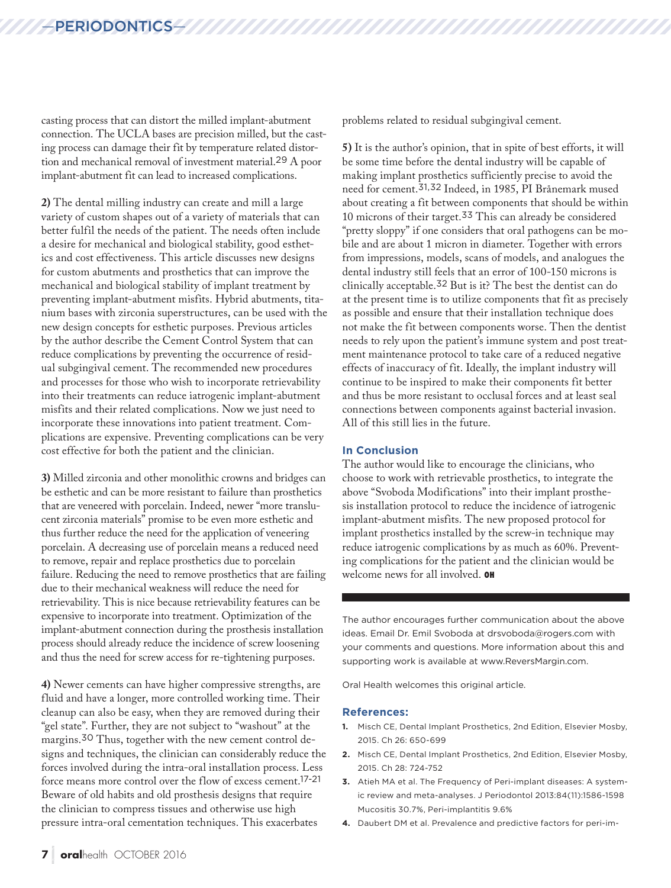casting process that can distort the milled implant-abutment connection. The UCLA bases are precision milled, but the casting process can damage their fit by temperature related distortion and mechanical removal of investment material.29 A poor implant-abutment fit can lead to increased complications.

**2)** The dental milling industry can create and mill a large variety of custom shapes out of a variety of materials that can better fulfil the needs of the patient. The needs often include a desire for mechanical and biological stability, good esthetics and cost effectiveness. This article discusses new designs for custom abutments and prosthetics that can improve the mechanical and biological stability of implant treatment by preventing implant-abutment misfits. Hybrid abutments, titanium bases with zirconia superstructures, can be used with the new design concepts for esthetic purposes. Previous articles by the author describe the Cement Control System that can reduce complications by preventing the occurrence of residual subgingival cement. The recommended new procedures and processes for those who wish to incorporate retrievability into their treatments can reduce iatrogenic implant-abutment misfits and their related complications. Now we just need to incorporate these innovations into patient treatment. Complications are expensive. Preventing complications can be very cost effective for both the patient and the clinician.

**3)** Milled zirconia and other monolithic crowns and bridges can be esthetic and can be more resistant to failure than prosthetics that are veneered with porcelain. Indeed, newer "more translucent zirconia materials" promise to be even more esthetic and thus further reduce the need for the application of veneering porcelain. A decreasing use of porcelain means a reduced need to remove, repair and replace prosthetics due to porcelain failure. Reducing the need to remove prosthetics that are failing due to their mechanical weakness will reduce the need for retrievability. This is nice because retrievability features can be expensive to incorporate into treatment. Optimization of the implant-abutment connection during the prosthesis installation process should already reduce the incidence of screw loosening and thus the need for screw access for re-tightening purposes.

**4)** Newer cements can have higher compressive strengths, are fluid and have a longer, more controlled working time. Their cleanup can also be easy, when they are removed during their "gel state". Further, they are not subject to "washout" at the margins.30 Thus, together with the new cement control designs and techniques, the clinician can considerably reduce the forces involved during the intra-oral installation process. Less force means more control over the flow of excess cement.17-21 Beware of old habits and old prosthesis designs that require the clinician to compress tissues and otherwise use high pressure intra-oral cementation techniques. This exacerbates

problems related to residual subgingival cement.

**5)** It is the author's opinion, that in spite of best efforts, it will be some time before the dental industry will be capable of making implant prosthetics sufficiently precise to avoid the need for cement.31,32 Indeed, in 1985, PI Brånemark mused about creating a fit between components that should be within 10 microns of their target.33 This can already be considered "pretty sloppy" if one considers that oral pathogens can be mobile and are about 1 micron in diameter. Together with errors from impressions, models, scans of models, and analogues the dental industry still feels that an error of 100-150 microns is clinically acceptable.32 But is it? The best the dentist can do at the present time is to utilize components that fit as precisely as possible and ensure that their installation technique does not make the fit between components worse. Then the dentist needs to rely upon the patient's immune system and post treatment maintenance protocol to take care of a reduced negative effects of inaccuracy of fit. Ideally, the implant industry will continue to be inspired to make their components fit better and thus be more resistant to occlusal forces and at least seal connections between components against bacterial invasion. All of this still lies in the future.

#### **In Conclusion**

The author would like to encourage the clinicians, who choose to work with retrievable prosthetics, to integrate the above "Svoboda Modifications" into their implant prosthesis installation protocol to reduce the incidence of iatrogenic implant-abutment misfits. The new proposed protocol for implant prosthetics installed by the screw-in technique may reduce iatrogenic complications by as much as 60%. Preventing complications for the patient and the clinician would be welcome news for all involved. OH

The author encourages further communication about the above ideas. Email Dr. Emil Svoboda at drsvoboda@rogers.com with your comments and questions. More information about this and supporting work is available at www.ReversMargin.com.

Oral Health welcomes this original article.

#### **References:**

- **1.** Misch CE, Dental Implant Prosthetics, 2nd Edition, Elsevier Mosby, 2015. Ch 26: 650-699
- **2.** Misch CE, Dental Implant Prosthetics, 2nd Edition, Elsevier Mosby, 2015. Ch 28: 724-752
- **3.** Atieh MA et al. The Frequency of Peri-implant diseases: A systemic review and meta-analyses. J Periodontol 2013:84(11):1586-1598 Mucositis 30.7%, Peri-implantitis 9.6%
- **4.** Daubert DM et al. Prevalence and predictive factors for peri-im-